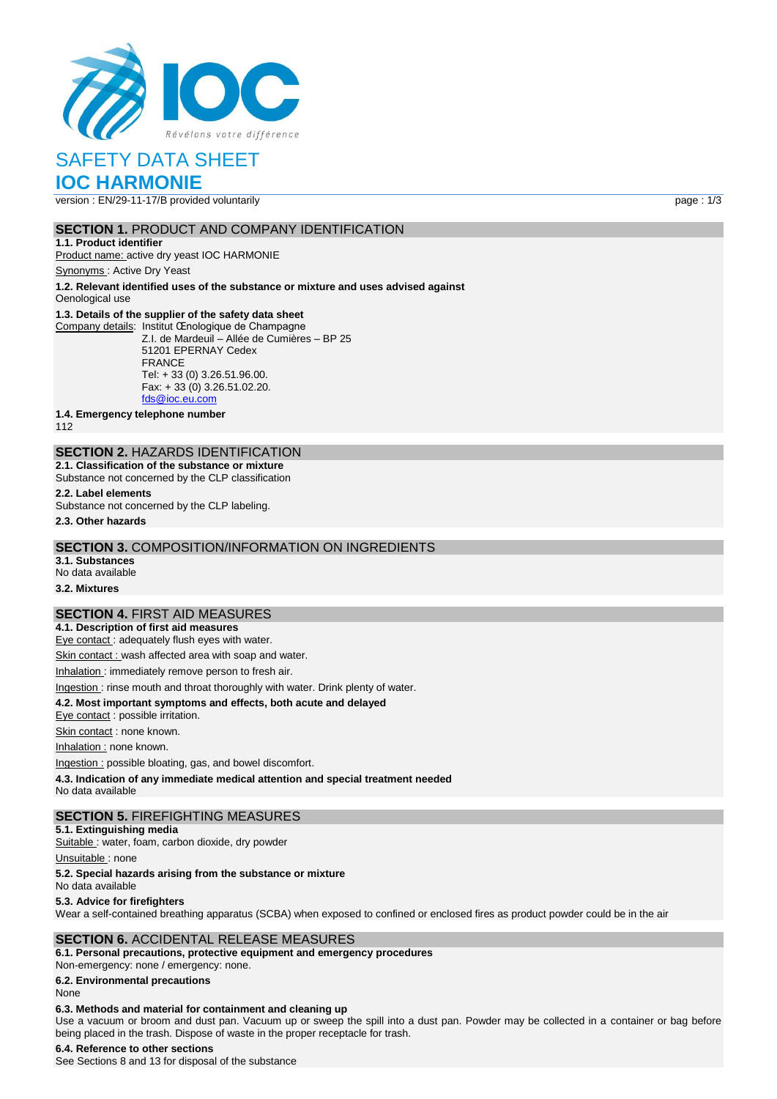

# SAFETY DATA SHEET

# **IOC HARMONIE**

version : EN/29-11-17/B provided voluntarily page : 1/3

### **SECTION 1.** PRODUCT AND COMPANY IDENTIFICATION

**1.1. Product identifier** Product name: active dry yeast IOC HARMONIE

Synonyms : Active Dry Yeast

**1.2. Relevant identified uses of the substance or mixture and uses advised against**

Oenological use

#### **1.3. Details of the supplier of the safety data sheet**

Company details: Institut Œnologique de Champagne Z.I. de Mardeuil – Allée de Cumières – BP 25 51201 EPERNAY Cedex FRANCE Tel: + 33 (0) 3.26.51.96.00. Fax: + 33 (0) 3.26.51.02.20. [fds@ioc.eu.com](mailto:fds@ioc.eu.com)

**1.4. Emergency telephone number**

112

# **SECTION 2.** HAZARDS IDENTIFICATION

**2.1. Classification of the substance or mixture** Substance not concerned by the CLP classification

**2.2. Label elements**

Substance not concerned by the CLP labeling.

**2.3. Other hazards**

#### **SECTION 3.** COMPOSITION/INFORMATION ON INGREDIENTS

**3.1. Substances** No data available

**3.2. Mixtures**

# **SECTION 4.** FIRST AID MEASURES

**4.1. Description of first aid measures**

Eye contact : adequately flush eyes with water.

Skin contact : wash affected area with soap and water.

Inhalation : immediately remove person to fresh air.

#### Ingestion : rinse mouth and throat thoroughly with water. Drink plenty of water.

**4.2. Most important symptoms and effects, both acute and delayed**

Eye contact : possible irritation.

Skin contact : none known.

Inhalation : none known.

Ingestion : possible bloating, gas, and bowel discomfort.

**4.3. Indication of any immediate medical attention and special treatment needed**

No data available

#### **SECTION 5.** FIREFIGHTING MEASURES

**5.1. Extinguishing media**

Suitable : water, foam, carbon dioxide, dry powder

Unsuitable: none

#### **5.2. Special hazards arising from the substance or mixture**

No data available

#### **5.3. Advice for firefighters**

Wear a self-contained breathing apparatus (SCBA) when exposed to confined or enclosed fires as product powder could be in the air

#### **SECTION 6.** ACCIDENTAL RELEASE MEASURES

**6.1. Personal precautions, protective equipment and emergency procedures** Non‐emergency: none / emergency: none.

**6.2. Environmental precautions**

## None

## **6.3. Methods and material for containment and cleaning up**

Use a vacuum or broom and dust pan. Vacuum up or sweep the spill into a dust pan. Powder may be collected in a container or bag before being placed in the trash. Dispose of waste in the proper receptacle for trash.

## **6.4. Reference to other sections**

See Sections 8 and 13 for disposal of the substance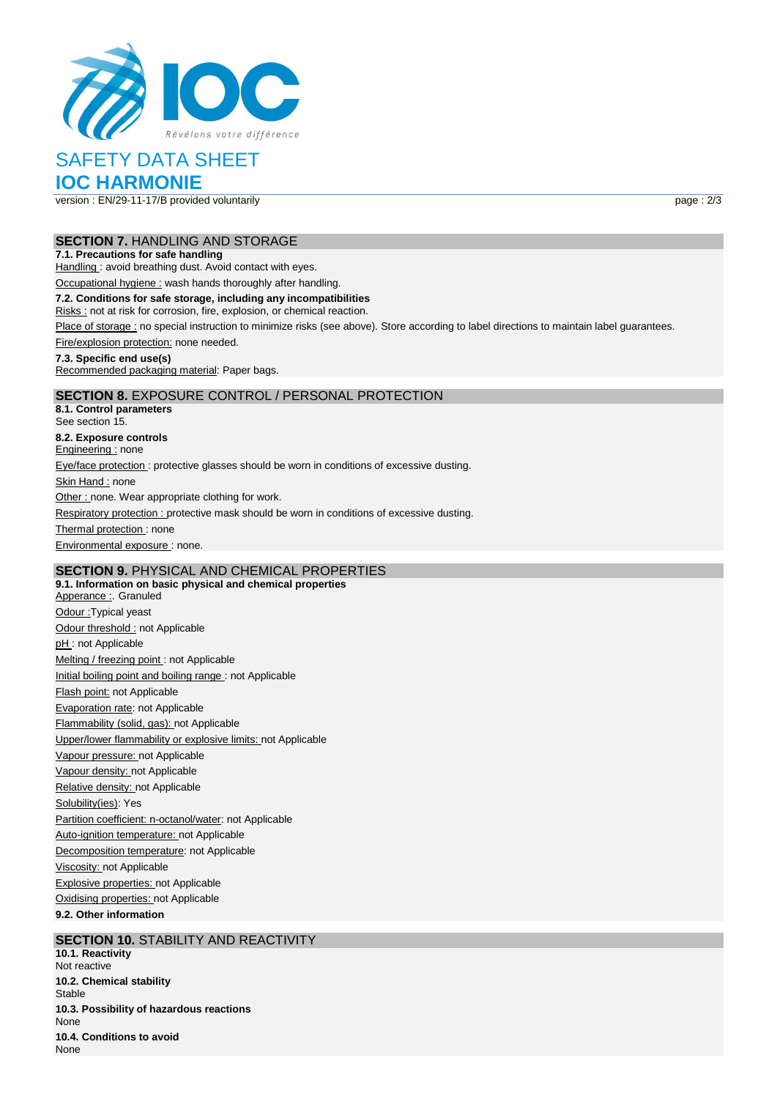

# SAFETY DATA SHEET

# **IOC HARMONIE**

version : EN/29-11-17/B provided voluntarily page : 2/3

#### **SECTION 7.** HANDLING AND STORAGE

#### **7.1. Precautions for safe handling**

Handling : avoid breathing dust. Avoid contact with eyes.

Occupational hygiene : wash hands thoroughly after handling.

#### **7.2. Conditions for safe storage, including any incompatibilities**

Risks : not at risk for corrosion, fire, explosion, or chemical reaction.

Place of storage : no special instruction to minimize risks (see above). Store according to label directions to maintain label guarantees.

Fire/explosion protection: none needed.

#### **7.3. Specific end use(s)**

Recommended packaging material: Paper bags.

# **SECTION 8.** EXPOSURE CONTROL / PERSONAL PROTECTION

**8.1. Control parameters** See section 15. **8.2. Exposure controls** Engineering : none Eye/face protection : protective glasses should be worn in conditions of excessive dusting. Skin Hand : none Other : none. Wear appropriate clothing for work. Respiratory protection : protective mask should be worn in conditions of excessive dusting. Thermal protection: none Environmental exposure : none.

# **SECTION 9.** PHYSICAL AND CHEMICAL PROPERTIES

**9.1. Information on basic physical and chemical properties** Apperance : Granuled Odour :Typical yeast Odour threshold : not Applicable pH: not Applicable Melting / freezing point : not Applicable Initial boiling point and boiling range : not Applicable Flash point: not Applicable Evaporation rate: not Applicable Flammability (solid, gas): not Applicable Upper/lower flammability or explosive limits: not Applicable Vapour pressure: not Applicable Vapour density: not Applicable Relative density: not Applicable Solubility(ies): Yes Partition coefficient: n-octanol/water: not Applicable Auto-ignition temperature: not Applicable Decomposition temperature: not Applicable Viscosity: not Applicable Explosive properties: not Applicable Oxidising properties: not Applicable **9.2. Other information**

## **SECTION 10. STABILITY AND REACTIVITY**

**10.1. Reactivity** Not reactive **10.2. Chemical stability** Stable **10.3. Possibility of hazardous reactions** None **10.4. Conditions to avoid** None